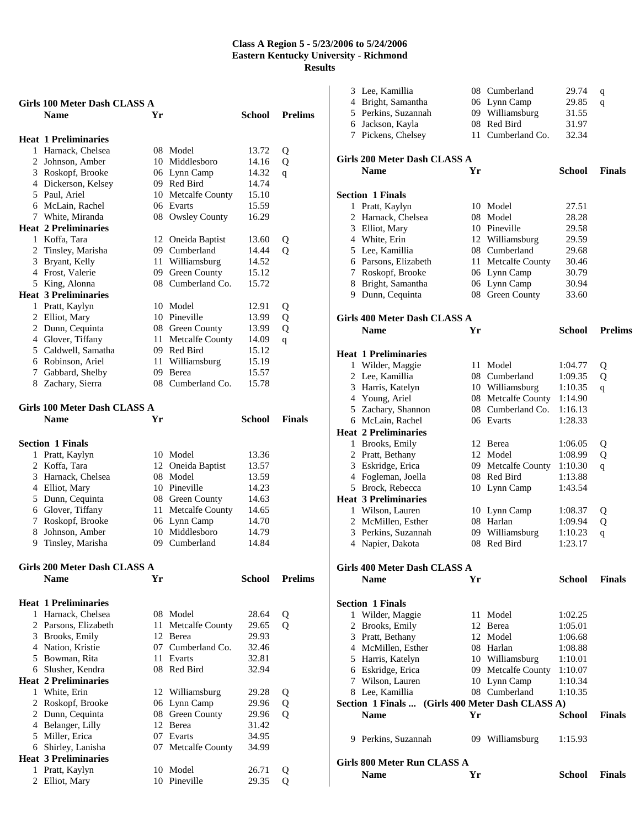|   | Girls 100 Meter Dash CLASS A        |    |                          |                |                |  |
|---|-------------------------------------|----|--------------------------|----------------|----------------|--|
|   | <b>Name</b>                         | Yr |                          | School         | <b>Prelims</b> |  |
|   |                                     |    |                          |                |                |  |
|   | <b>Heat 1 Preliminaries</b>         |    |                          |                |                |  |
|   | 1 Harnack, Chelsea                  |    | 08 Model                 | 13.72          | Q              |  |
|   | 2 Johnson, Amber                    |    | 10 Middlesboro           | 14.16          | Q              |  |
|   | 3 Roskopf, Brooke                   |    | 06 Lynn Camp             | 14.32          | q              |  |
|   | 4 Dickerson, Kelsey                 |    | 09 Red Bird              | 14.74          |                |  |
|   | 5 Paul, Ariel                       |    | 10 Metcalfe County       | 15.10          |                |  |
|   | 6 McLain, Rachel                    |    | 06 Evarts                | 15.59          |                |  |
|   | 7 White, Miranda                    |    | 08 Owsley County         | 16.29          |                |  |
|   | <b>Heat 2 Preliminaries</b>         |    |                          |                |                |  |
|   | 1 Koffa, Tara                       |    | 12 Oneida Baptist        | 13.60          | Q              |  |
|   | 2 Tinsley, Marisha                  |    | 09 Cumberland            | 14.44          | Q              |  |
|   | 3 Bryant, Kelly                     |    | 11 Williamsburg          | 14.52          |                |  |
|   | 4 Frost, Valerie                    |    | 09 Green County          | 15.12          |                |  |
|   | 5 King, Alonna                      |    | 08 Cumberland Co.        | 15.72          |                |  |
|   | <b>Heat 3 Preliminaries</b>         |    |                          |                |                |  |
|   | 1 Pratt, Kaylyn                     |    | 10 Model                 | 12.91          | Q              |  |
|   | 2 Elliot, Mary                      |    | 10 Pineville             | 13.99          | Q              |  |
|   | 2 Dunn, Cequinta                    |    | 08 Green County          | 13.99          | Q              |  |
|   | 4 Glover, Tiffany                   |    | 11 Metcalfe County       | 14.09          | $\overline{q}$ |  |
|   | 5 Caldwell, Samatha                 |    | 09 Red Bird              | 15.12          |                |  |
|   | 6 Robinson, Ariel                   |    | 11 Williamsburg          | 15.19          |                |  |
|   | 7 Gabbard, Shelby                   |    | 09 Berea                 | 15.57          |                |  |
|   | 8 Zachary, Sierra                   |    | 08 Cumberland Co.        | 15.78          |                |  |
|   |                                     |    |                          |                |                |  |
|   | Girls 100 Meter Dash CLASS A        |    |                          |                |                |  |
|   | <b>Name</b>                         | Yr |                          | <b>School</b>  | <b>Finals</b>  |  |
|   |                                     |    |                          |                |                |  |
|   | <b>Section 1 Finals</b>             |    |                          |                |                |  |
|   | 1 Pratt, Kaylyn                     |    | 10 Model                 | 13.36          |                |  |
|   | 2 Koffa, Tara                       |    | 12 Oneida Baptist        | 13.57          |                |  |
|   | 3 Harnack, Chelsea                  |    | 08 Model                 | 13.59          |                |  |
|   | 4 Elliot, Mary                      |    | 10 Pineville             | 14.23          |                |  |
|   | 5 Dunn, Cequinta                    |    | 08 Green County          | 14.63          |                |  |
|   | 6 Glover, Tiffany                   |    |                          |                |                |  |
|   |                                     |    |                          |                |                |  |
|   |                                     |    | 11 Metcalfe County       | 14.65          |                |  |
|   | 7 Roskopf, Brooke                   |    | 06 Lynn Camp             | 14.70          |                |  |
|   | 8 Johnson, Amber                    |    | 10 Middlesboro           | 14.79          |                |  |
|   | 9 Tinsley, Marisha                  |    | 09 Cumberland            | 14.84          |                |  |
|   |                                     |    |                          |                |                |  |
|   | <b>Girls 200 Meter Dash CLASS A</b> |    |                          |                |                |  |
|   | <b>Name</b>                         | Yr |                          | <b>School</b>  | <b>Prelims</b> |  |
|   |                                     |    |                          |                |                |  |
|   | <b>Heat 1 Preliminaries</b>         |    |                          |                |                |  |
|   | 1 Harnack, Chelsea                  |    | 08 Model                 | 28.64          | Q              |  |
|   | 2 Parsons, Elizabeth                | 11 | Metcalfe County          | 29.65          | Q              |  |
|   | 3 Brooks, Emily                     | 12 | Berea                    | 29.93          |                |  |
|   | 4 Nation, Kristie                   |    | 07 Cumberland Co.        | 32.46          |                |  |
|   | 5 Bowman, Rita                      | 11 | Evarts                   | 32.81          |                |  |
|   | 6 Slusher, Kendra                   |    | 08 Red Bird              | 32.94          |                |  |
|   | <b>Heat 2 Preliminaries</b>         |    |                          |                |                |  |
|   | 1 White, Erin                       | 12 | Williamsburg             | 29.28          | Q              |  |
|   | 2 Roskopf, Brooke                   | 06 | Lynn Camp                | 29.96          | Q              |  |
|   | 2 Dunn, Cequinta                    | 08 | Green County             | 29.96          | $\overline{O}$ |  |
|   | 4 Belanger, Lilly                   | 12 | Berea                    | 31.42          |                |  |
|   | 5 Miller, Erica                     | 07 | Evarts                   | 34.95          |                |  |
|   | 6 Shirley, Lanisha                  | 07 | Metcalfe County          | 34.99          |                |  |
|   | <b>Heat 3 Preliminaries</b>         |    |                          |                |                |  |
| 2 | 1 Pratt, Kaylyn<br>Elliot, Mary     |    | 10 Model<br>10 Pineville | 26.71<br>29.35 | Q<br>Q         |  |

| 3 Lee, Kamillia                           |      | 08 Cumberland                  | 29.74              | q              |
|-------------------------------------------|------|--------------------------------|--------------------|----------------|
| 4 Bright, Samantha                        |      | 06 Lynn Camp                   | 29.85              | q              |
| 5 Perkins, Suzannah                       |      | 09 Williamsburg                | 31.55              |                |
| 6 Jackson, Kayla                          |      | 08 Red Bird                    | 31.97              |                |
| 7 Pickens, Chelsey                        | 11 - | Cumberland Co.                 | 32.34              |                |
|                                           |      |                                |                    |                |
| <b>Girls 200 Meter Dash CLASS A</b>       |      |                                |                    |                |
| <b>Name</b>                               | Yr   |                                | School             | <b>Finals</b>  |
|                                           |      |                                |                    |                |
| <b>Section 1 Finals</b>                   |      |                                |                    |                |
| 1 Pratt, Kaylyn                           |      | 10 Model                       | 27.51              |                |
| 2 Harnack, Chelsea                        |      | 08 Model                       | 28.28              |                |
| 3 Elliot, Mary                            |      | 10 Pineville                   | 29.58              |                |
| 4 White, Erin                             |      | 12 Williamsburg                | 29.59              |                |
| 5 Lee, Kamillia                           |      | 08 Cumberland                  | 29.68              |                |
| 6 Parsons, Elizabeth                      |      | 11 Metcalfe County             | 30.46              |                |
| 7 Roskopf, Brooke                         |      | 06 Lynn Camp                   | 30.79              |                |
| 8 Bright, Samantha                        |      | 06 Lynn Camp                   | 30.94              |                |
| 9 Dunn, Cequinta                          |      | 08 Green County                | 33.60              |                |
| Girls 400 Meter Dash CLASS A              |      |                                |                    |                |
| <b>Name</b>                               | Yr   |                                | <b>School</b>      | <b>Prelims</b> |
|                                           |      |                                |                    |                |
| <b>Heat 1 Preliminaries</b>               |      |                                |                    |                |
| 1 Wilder, Maggie                          |      | 11 Model                       | 1:04.77            | Q              |
| 2 Lee, Kamillia                           |      | 08 Cumberland                  | 1:09.35            | Q              |
| 3 Harris, Katelyn                         |      | 10 Williamsburg                | 1:10.35            | q              |
| 4 Young, Ariel                            |      | 08 Metcalfe County             | 1:14.90            |                |
| 5 Zachary, Shannon                        |      | 08 Cumberland Co.              | 1:16.13            |                |
| 6 McLain, Rachel                          |      | 06 Evarts                      | 1:28.33            |                |
| <b>Heat 2 Preliminaries</b>               |      |                                |                    |                |
| 1 Brooks, Emily                           |      | 12 Berea                       | 1:06.05            | Q              |
| 2 Pratt, Bethany                          |      | 12 Model                       | 1:08.99            | Q              |
| 3 Eskridge, Erica                         |      | 09 Metcalfe County             | 1:10.30            | q              |
| 4 Fogleman, Joella                        |      | 08 Red Bird                    | 1:13.88            |                |
| 5 Brock, Rebecca                          |      | 10 Lynn Camp                   | 1:43.54            |                |
| <b>Heat 3 Preliminaries</b>               |      |                                |                    |                |
| 1 Wilson, Lauren                          |      | 10 Lynn Camp                   | 1:08.37            | Q              |
| 2 McMillen, Esther<br>3 Perkins, Suzannah | 09   | 08 Harlan                      | 1:09.94<br>1:10.23 | Q              |
| 4 Napier, Dakota                          |      | Williamsburg<br>08 Red Bird    | 1:23.17            | q              |
|                                           |      |                                |                    |                |
| <b>Girls 400 Meter Dash CLASS A</b>       |      |                                |                    |                |
| <b>Name</b>                               | Yr   |                                | School             | <b>Finals</b>  |
|                                           |      |                                |                    |                |
| <b>Section 1 Finals</b>                   |      |                                |                    |                |
| 1 Wilder, Maggie                          |      | 11 Model                       | 1:02.25            |                |
| 2 Brooks, Emily                           |      | 12 Berea                       | 1:05.01            |                |
| 3 Pratt, Bethany                          |      | 12 Model                       | 1:06.68            |                |
| 4 McMillen, Esther                        |      | 08 Harlan                      | 1:08.88            |                |
| 5 Harris, Katelyn                         |      | 10 Williamsburg                | 1:10.01            |                |
| 6 Eskridge, Erica<br>7 Wilson, Lauren     |      | 09 Metcalfe County             | 1:10.07            |                |
| 8 Lee, Kamillia                           |      | 10 Lynn Camp<br>08 Cumberland  | 1:10.34<br>1:10.35 |                |
| Section 1 Finals                          |      | (Girls 400 Meter Dash CLASS A) |                    |                |
| <b>Name</b>                               | Yr   |                                | School             | <b>Finals</b>  |
|                                           |      |                                |                    |                |
| 9 Perkins, Suzannah                       |      | 09 Williamsburg                | 1:15.93            |                |
| Girls 800 Meter Run CLASS A               |      |                                |                    |                |
| <b>Name</b>                               | Yr   |                                | School             | <b>Finals</b>  |
|                                           |      |                                |                    |                |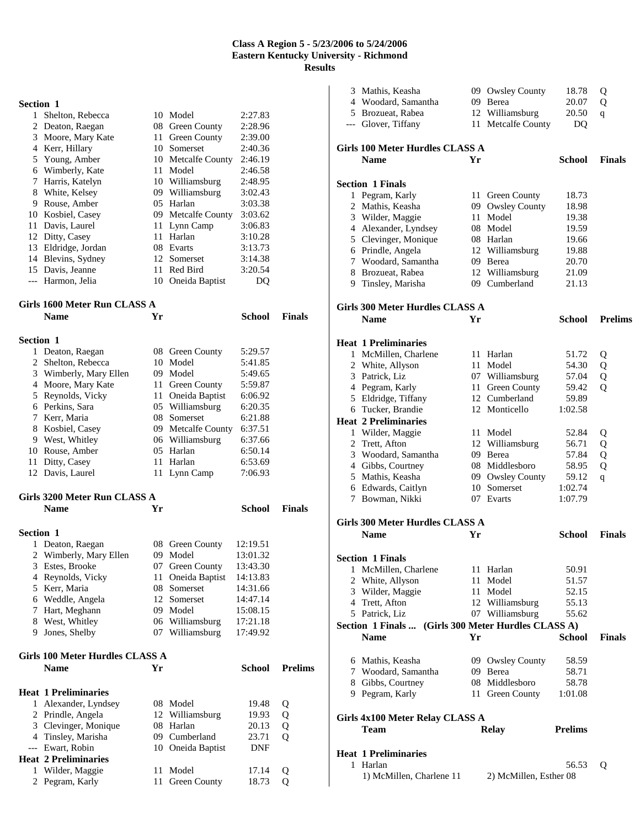| 1  | Shelton, Rebecca   |     | 10 Model           | 2:27.83 |
|----|--------------------|-----|--------------------|---------|
|    | 2 Deaton, Raegan   |     | 08 Green County    | 2:28.96 |
| 3  | Moore, Mary Kate   | 11  | Green County       | 2:39.00 |
| 4  | Kerr, Hillary      | 10  | Somerset           | 2:40.36 |
|    | 5 Young, Amber     |     | 10 Metcalfe County | 2:46.19 |
| 6  | Wimberly, Kate     | 11  | Model              | 2:46.58 |
| 7  | Harris, Katelyn    |     | 10 Williamsburg    | 2:48.95 |
| 8  | White, Kelsey      |     | 09 Williamsburg    | 3:02.43 |
| 9  | Rouse, Amber       | 05  | Harlan             | 3:03.38 |
| 10 | Kosbiel, Casey     |     | 09 Metcalfe County | 3:03.62 |
| 11 | Davis, Laurel      | 11  | Lynn Camp          | 3:06.83 |
|    | 12 Ditty, Casey    | 11. | Harlan             | 3:10.28 |
| 13 | Eldridge, Jordan   | 08  | Evarts             | 3:13.73 |
|    | 14 Blevins, Sydney |     | 12 Somerset        | 3:14.38 |
|    | 15 Davis, Jeanne   | 11  | Red Bird           | 3:20.54 |
|    | Harmon, Jelia      | 10  | Oneida Baptist     | ю       |
|    |                    |     |                    |         |

# **Girls 1600 Meter Run CLASS A**

|                  | 00 MECLE THEM                |      |                    |          |               |
|------------------|------------------------------|------|--------------------|----------|---------------|
|                  | <b>Name</b>                  | Yr   |                    | School   | Finals        |
| <b>Section 1</b> |                              |      |                    |          |               |
| 1                | Deaton, Raegan               |      | 08 Green County    | 5:29.57  |               |
|                  | 2 Shelton, Rebecca           |      | 10 Model           | 5:41.85  |               |
| 3                | Wimberly, Mary Ellen         |      | 09 Model           | 5:49.65  |               |
| 4                | Moore, Mary Kate             | 11 - | Green County       | 5:59.87  |               |
|                  | 5 Reynolds, Vicky            | 11   | Oneida Baptist     | 6:06.92  |               |
| 6                | Perkins, Sara                |      | 05 Williamsburg    | 6:20.35  |               |
| 7                | Kerr, Maria                  | 08.  | Somerset           | 6:21.88  |               |
| 8                | Kosbiel, Casey               |      | 09 Metcalfe County | 6:37.51  |               |
| 9.               | West, Whitley                |      | 06 Williamsburg    | 6:37.66  |               |
| 10               | Rouse, Amber                 | 05   | Harlan             | 6:50.14  |               |
| 11               | Ditty, Casey                 | 11.  | Harlan             | 6:53.69  |               |
|                  | 12 Davis, Laurel             |      | 11 Lynn Camp       | 7:06.93  |               |
|                  | Girls 3200 Meter Run CLASS A |      |                    |          |               |
|                  | <b>Name</b>                  | Yr   |                    | School   | <b>Finals</b> |
| <b>Section 1</b> |                              |      |                    |          |               |
| 1                | Deaton, Raegan               | 08   | Green County       | 12:19.51 |               |

| 1 Dealon, Racgan       | vo viten county   | 12. I <i>J</i> . J I |
|------------------------|-------------------|----------------------|
| 2 Wimberly, Mary Ellen | 09 Model          | 13:01.32             |
| 3 Estes, Brooke        | 07 Green County   | 13:43.30             |
| 4 Reynolds, Vicky      | 11 Oneida Baptist | 14:13.83             |
| 5 Kerr, Maria          | 08 Somerset       | 14:31.66             |
| 6 Weddle, Angela       | 12 Somerset       | 14:47.14             |
| 7 Hart, Meghann        | 09 Model          | 15:08.15             |
| 8 West, Whitley        | 06 Williamsburg   | 17:21.18             |
| 9 Jones, Shelby        | 07 Williamsburg   | 17:49.92             |
|                        |                   |                      |

# **Girls 100 Meter Hurdles CLASS A**

|   | $\cdots$                    |     |                     |        |                |  |  |
|---|-----------------------------|-----|---------------------|--------|----------------|--|--|
|   | <b>Name</b>                 | Yr  |                     | School | <b>Prelims</b> |  |  |
|   | <b>Heat 1 Preliminaries</b> |     |                     |        |                |  |  |
| 1 | Alexander, Lyndsey          | 08. | Model               | 19.48  | Q              |  |  |
|   | 2 Prindle, Angela           |     | 12 Williamsburg     | 19.93  | Q              |  |  |
|   | 3 Clevinger, Monique        | 08. | Harlan              | 20.13  | Q              |  |  |
|   | 4 Tinsley, Marisha          | 09  | Cumberland          | 23.71  | Ő              |  |  |
|   | --- Ewart, Robin            |     | 10 Oneida Baptist   | DNF    |                |  |  |
|   | <b>Heat 2 Preliminaries</b> |     |                     |        |                |  |  |
|   | Wilder, Maggie              |     | Model               | 17.14  | Ő              |  |  |
|   | 2 Pegram, Karly             | 11  | <b>Green County</b> | 18.73  |                |  |  |
|   |                             |     |                     |        |                |  |  |

| 3 Mathis, Keasha                                    |    | 09 Owsley County                        | 18.78          | Q              |
|-----------------------------------------------------|----|-----------------------------------------|----------------|----------------|
| 4 Woodard, Samantha                                 |    | 09 Berea                                | 20.07          | Q              |
| 5 Brozueat, Rabea                                   |    | 12 Williamsburg                         | 20.50          | $\mathbf{q}$   |
| --- Glover, Tiffany                                 |    | 11 Metcalfe County                      | DQ             |                |
|                                                     |    |                                         |                |                |
| <b>Girls 100 Meter Hurdles CLASS A</b>              |    |                                         |                |                |
| <b>Name</b>                                         | Yr |                                         | <b>School</b>  | <b>Finals</b>  |
| <b>Section 1 Finals</b>                             |    |                                         |                |                |
| 1 Pegram, Karly                                     |    |                                         | 18.73          |                |
| 2 Mathis, Keasha                                    | 09 | 11 Green County<br><b>Owsley County</b> | 18.98          |                |
| 3 Wilder, Maggie                                    | 11 | Model                                   | 19.38          |                |
| 4 Alexander, Lyndsey                                |    | 08 Model                                | 19.59          |                |
| 5 Clevinger, Monique                                |    | 08 Harlan                               | 19.66          |                |
| 6 Prindle, Angela                                   |    | 12 Williamsburg                         | 19.88          |                |
| 7 Woodard, Samantha                                 |    | 09 Berea                                | 20.70          |                |
| 8 Brozueat, Rabea                                   |    | 12 Williamsburg                         | 21.09          |                |
| 9 Tinsley, Marisha                                  |    | 09 Cumberland                           | 21.13          |                |
|                                                     |    |                                         |                |                |
| <b>Girls 300 Meter Hurdles CLASS A</b>              |    |                                         |                |                |
| <b>Name</b>                                         | Yr |                                         | School         | <b>Prelims</b> |
|                                                     |    |                                         |                |                |
| <b>Heat 1 Preliminaries</b>                         |    |                                         |                |                |
| 1 McMillen, Charlene                                |    | 11 Harlan                               | 51.72          | Q              |
| 2 White, Allyson                                    |    | 11 Model                                | 54.30          | Q              |
| 3 Patrick, Liz                                      |    | 07 Williamsburg                         | 57.04          | Q              |
| 4 Pegram, Karly                                     |    | 11 Green County                         | 59.42          | Q              |
| 5 Eldridge, Tiffany                                 |    | 12 Cumberland                           | 59.89          |                |
| 6 Tucker, Brandie                                   |    | 12 Monticello                           | 1:02.58        |                |
| <b>Heat 2 Preliminaries</b>                         |    |                                         |                |                |
| 1 Wilder, Maggie                                    |    | 11 Model                                | 52.84          | Q              |
| 2 Trett, Afton                                      | 12 | Williamsburg                            | 56.71          | Q              |
| 3 Woodard, Samantha                                 |    | 09 Berea                                | 57.84          | Q              |
| 4 Gibbs, Courtney                                   |    | 08 Middlesboro                          | 58.95          | Q              |
| 5 Mathis, Keasha                                    |    | 09 Owsley County                        | 59.12          | $\mathbf{q}$   |
| 6 Edwards, Caitlyn                                  |    | 10 Somerset                             | 1:02.74        |                |
| 7 Bowman, Nikki                                     |    | 07 Evarts                               | 1:07.79        |                |
| Girls 300 Meter Hurdles CLASS A                     |    |                                         |                |                |
| <b>Name</b>                                         | Yr |                                         | School         | <b>Finals</b>  |
|                                                     |    |                                         |                |                |
| <b>Section 1 Finals</b>                             |    |                                         |                |                |
| 1 McMillen, Charlene                                |    | 11 Harlan                               | 50.91          |                |
| 2 White, Allyson                                    |    | 11 Model                                | 51.57          |                |
| 3 Wilder, Maggie                                    |    | 11 Model                                | 52.15          |                |
| 4 Trett, Afton                                      |    | 12 Williamsburg                         | 55.13          |                |
| 5 Patrick, Liz                                      |    | 07 Williamsburg                         | 55.62          |                |
| Section 1 Finals  (Girls 300 Meter Hurdles CLASS A) |    |                                         |                |                |
| <b>Name</b>                                         | Yr |                                         | <b>School</b>  | <b>Finals</b>  |
|                                                     |    |                                         |                |                |
| 6 Mathis, Keasha                                    |    | 09 Owsley County                        | 58.59          |                |
| 7 Woodard, Samantha                                 |    | 09 Berea                                | 58.71          |                |
| 8 Gibbs, Courtney                                   |    | 08 Middlesboro                          | 58.78          |                |
| 9 Pegram, Karly                                     |    | 11 Green County                         | 1:01.08        |                |
| Girls 4x100 Meter Relay CLASS A                     |    |                                         |                |                |
| Team                                                |    | <b>Relay</b>                            | <b>Prelims</b> |                |
|                                                     |    |                                         |                |                |
| <b>Heat 1 Preliminaries</b>                         |    |                                         |                |                |
| 1 Harlan                                            |    |                                         | 56.53          | Q              |
| 1) McMillen, Charlene 11                            |    | 2) McMillen, Esther 08                  |                |                |
|                                                     |    |                                         |                |                |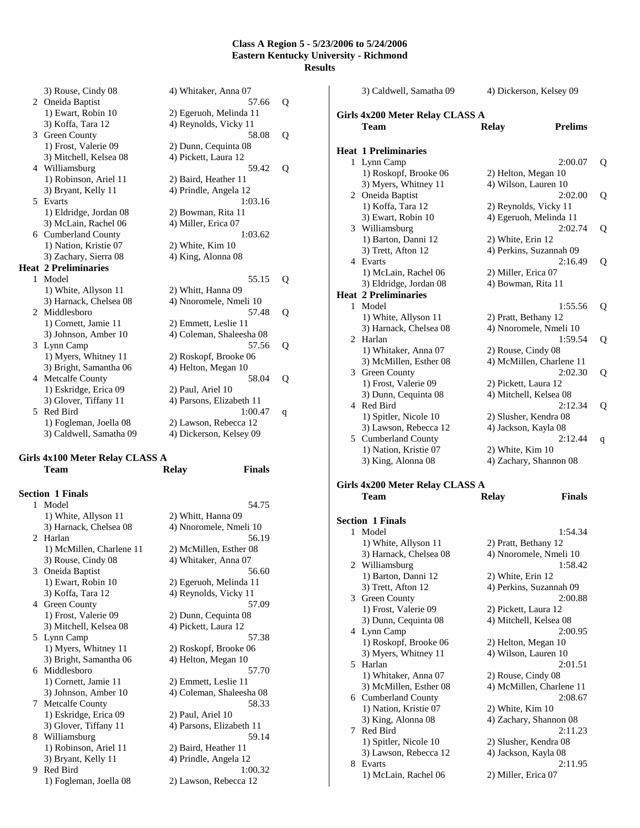|    | 3) Rouse, Cindy 08          | 4) Whitaker, Anna 07     |   |
|----|-----------------------------|--------------------------|---|
|    | 2 Oneida Baptist            | 57.66                    | Q |
|    | 1) Ewart, Robin 10          | 2) Egeruoh, Melinda 11   |   |
|    | 3) Koffa, Tara 12           | 4) Reynolds, Vicky 11    |   |
| 3  | Green County                | 58.08                    | Q |
|    | 1) Frost, Valerie 09        | 2) Dunn, Cequinta 08     |   |
|    | 3) Mitchell, Kelsea 08      | 4) Pickett, Laura 12     |   |
| 4  | Williamsburg                | 59.42                    | Q |
|    | 1) Robinson, Ariel 11       | 2) Baird, Heather 11     |   |
|    | 3) Bryant, Kelly 11         | 4) Prindle, Angela 12    |   |
| 5  | Evarts                      | 1:03.16                  |   |
|    | 1) Eldridge, Jordan 08      | 2) Bowman, Rita 11       |   |
|    | 3) McLain, Rachel 06        | 4) Miller, Erica 07      |   |
|    | 6 Cumberland County         | 1:03.62                  |   |
|    | 1) Nation, Kristie 07       | 2) White, Kim 10         |   |
|    | 3) Zachary, Sierra 08       | 4) King, Alonna 08       |   |
|    |                             |                          |   |
|    | <b>Heat 2 Preliminaries</b> |                          |   |
| 1  | Model                       | 55.15                    |   |
|    | 1) White, Allyson 11        | 2) Whitt, Hanna 09       | Q |
|    | 3) Harnack, Chelsea 08      | 4) Nnoromele, Nmeli 10   |   |
| 2. | Middlesboro                 | 57.48                    | Q |
|    | 1) Cornett, Jamie 11        | 2) Emmett, Leslie 11     |   |
|    | 3) Johnson, Amber 10        | 4) Coleman, Shaleesha 08 |   |
| 3  | Lynn Camp                   | 57.56                    | Q |
|    | 1) Myers, Whitney 11        | 2) Roskopf, Brooke 06    |   |
|    | 3) Bright, Samantha 06      | 4) Helton, Megan 10      |   |
| 4  | Metcalfe County             | 58.04                    | Q |
|    | 1) Eskridge, Erica 09       | 2) Paul, Ariel 10        |   |
|    | 3) Glover, Tiffany 11       | 4) Parsons, Elizabeth 11 |   |
| 5  | Red Bird                    | 1:00.47                  | q |
|    | 1) Fogleman, Joella 08      | 2) Lawson, Rebecca 12    |   |
|    | 3) Caldwell, Samatha 09     | 4) Dickerson, Kelsey 09  |   |

### **Girls 4x100 Meter Relay CLASS A Team Relay Finals**

|   | <b>Section 1 Finals</b>  |                          |
|---|--------------------------|--------------------------|
|   | 1 Model                  | 54.75                    |
|   | 1) White, Allyson 11     | 2) Whitt, Hanna 09       |
|   | 3) Harnack, Chelsea 08   | 4) Nnoromele, Nmeli 10   |
|   | 2 Harlan                 | 56.19                    |
|   | 1) McMillen, Charlene 11 | 2) McMillen, Esther 08   |
|   | 3) Rouse, Cindy 08       | 4) Whitaker, Anna 07     |
|   | 3 Oneida Baptist         | 56.60                    |
|   | 1) Ewart, Robin 10       | 2) Egeruoh, Melinda 11   |
|   | 3) Koffa, Tara 12        | 4) Reynolds, Vicky 11    |
|   | 4 Green County           | 57.09                    |
|   | 1) Frost, Valerie 09     | 2) Dunn, Cequinta 08     |
|   | 3) Mitchell, Kelsea 08   | 4) Pickett, Laura 12     |
|   | 5 Lynn Camp              | 57.38                    |
|   | 1) Myers, Whitney 11     | 2) Roskopf, Brooke 06    |
|   | 3) Bright, Samantha 06   | 4) Helton, Megan 10      |
|   | 6 Middlesboro            | 57.70                    |
|   | 1) Cornett, Jamie 11     | 2) Emmett, Leslie 11     |
|   | 3) Johnson, Amber 10     | 4) Coleman, Shaleesha 08 |
| 7 | <b>Metcalfe County</b>   | 58.33                    |
|   | 1) Eskridge, Erica 09    | 2) Paul, Ariel 10        |
|   | 3) Glover, Tiffany 11    | 4) Parsons, Elizabeth 11 |
|   | 8 Williamsburg           | 59.14                    |
|   | 1) Robinson, Ariel 11    | 2) Baird, Heather 11     |
|   | 3) Bryant, Kelly 11      | 4) Prindle, Angela 12    |
|   | 9 Red Bird               | 1:00.32                  |
|   | 1) Fogleman, Joella 08   | 2) Lawson, Rebecca 12    |
|   |                          |                          |

|              | 3) Caldwell, Samatha 09         |                        | 4) Dickerson, Kelsey 09           |   |
|--------------|---------------------------------|------------------------|-----------------------------------|---|
|              | Girls 4x200 Meter Relay CLASS A |                        |                                   |   |
|              | Team                            | <b>Relay</b>           | <b>Prelims</b>                    |   |
|              | <b>Heat 1 Preliminaries</b>     |                        |                                   |   |
| 1            | Lynn Camp                       |                        | 2:00.07                           | Q |
|              | 1) Roskopf, Brooke 06           | 2) Helton, Megan 10    |                                   |   |
|              | 3) Myers, Whitney 11            | 4) Wilson, Lauren 10   |                                   |   |
|              | 2 Oneida Baptist                |                        | 2:02.00                           | Q |
|              | 1) Koffa, Tara 12               | 2) Reynolds, Vicky 11  |                                   |   |
|              | 3) Ewart, Robin 10              |                        | 4) Egeruoh, Melinda 11            |   |
|              | 3 Williamsburg                  |                        | 2:02.74                           | Q |
|              | 1) Barton, Danni 12             | 2) White, Erin 12      |                                   |   |
|              | 3) Trett, Afton 12              |                        | 4) Perkins, Suzannah 09           |   |
|              | 4 Evarts                        |                        | 2:16.49                           | Q |
|              | 1) McLain, Rachel 06            | 2) Miller, Erica 07    |                                   |   |
|              | 3) Eldridge, Jordan 08          | 4) Bowman, Rita 11     |                                   |   |
|              | <b>Heat 2 Preliminaries</b>     |                        |                                   |   |
| $\mathbf{1}$ | Model                           |                        | 1:55.56                           | Q |
|              | 1) White, Allyson 11            | 2) Pratt, Bethany 12   |                                   |   |
|              | 3) Harnack, Chelsea 08          |                        | 4) Nnoromele, Nmeli 10            |   |
|              | 2 Harlan                        |                        | 1:59.54                           | Q |
|              | 1) Whitaker, Anna 07            | 2) Rouse, Cindy 08     |                                   |   |
|              | 3) McMillen, Esther 08          |                        | 4) McMillen, Charlene 11          |   |
|              | 3 Green County                  |                        | 2:02.30                           | Q |
|              | 1) Frost, Valerie 09            | 2) Pickett, Laura 12   |                                   |   |
|              | 3) Dunn, Cequinta 08            | 4) Mitchell, Kelsea 08 |                                   |   |
|              | 4 Red Bird                      |                        | 2:12.34                           | Q |
|              | 1) Spitler, Nicole 10           | 2) Slusher, Kendra 08  |                                   |   |
|              | 3) Lawson, Rebecca 12           | 4) Jackson, Kayla 08   |                                   |   |
|              | 5 Cumberland County             |                        | 2:12.44                           | q |
|              | 1) Nation, Kristie 07           | 2) White, Kim 10       |                                   |   |
|              | 3) King, Alonna 08              |                        | 4) Zachary, Shannon 08            |   |
|              | Girls 4x200 Meter Relay CLASS A |                        |                                   |   |
|              | Team                            | <b>Relay</b>           | <b>Finals</b>                     |   |
|              |                                 |                        |                                   |   |
|              | <b>Section 1 Finals</b>         |                        |                                   |   |
|              | 1 Model                         |                        | 1:54.34                           |   |
|              | 1) White, Allyson 11            | 2) Pratt, Bethany 12   |                                   |   |
|              | 3) Harnack, Chelsea 08          |                        | 4) Nnoromele, Nmeli 10<br>1:58.42 |   |
|              | 2 Williamsburg                  |                        |                                   |   |
|              |                                 |                        |                                   |   |
|              | 1) Barton, Danni 12             | 2) White, Erin 12      |                                   |   |
|              | 3) Trett, Afton 12              |                        | 4) Perkins, Suzannah 09           |   |
| 3            | Green County                    |                        | 2:00.88                           |   |
|              | 1) Frost, Valerie 09            | 2) Pickett, Laura 12   |                                   |   |
|              | 3) Dunn, Cequinta 08            | 4) Mitchell, Kelsea 08 |                                   |   |
|              | 4 Lynn Camp                     |                        | 2:00.95                           |   |
|              | 1) Roskopf, Brooke 06           | 2) Helton, Megan 10    |                                   |   |
| 5            | 3) Myers, Whitney 11            | 4) Wilson, Lauren 10   |                                   |   |
|              | Harlan                          |                        | 2:01.51                           |   |
|              | 1) Whitaker, Anna 07            | 2) Rouse, Cindy 08     |                                   |   |
| 6            | 3) McMillen, Esther 08          |                        | 4) McMillen, Charlene 11          |   |
|              | <b>Cumberland County</b>        |                        | 2:08.67                           |   |
|              | 1) Nation, Kristie 07           | 2) White, Kim 10       |                                   |   |
| 7            | 3) King, Alonna 08<br>Red Bird  |                        | 4) Zachary, Shannon 08            |   |
|              |                                 |                        | 2:11.23                           |   |
|              | 1) Spitler, Nicole 10           | 2) Slusher, Kendra 08  |                                   |   |
| 8            | 3) Lawson, Rebecca 12<br>Evarts | 4) Jackson, Kayla 08   | 2:11.95                           |   |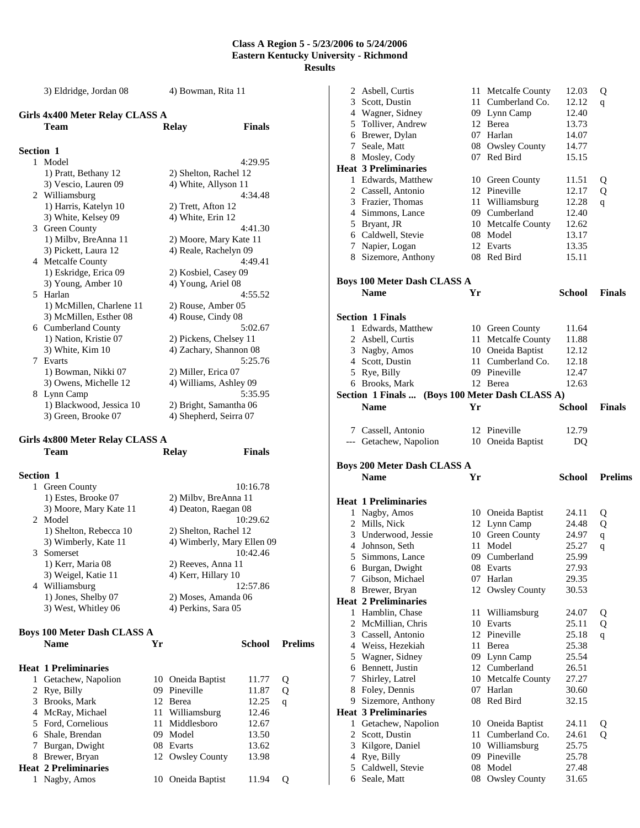3) Eldridge, Jordan 08 4) Bowman, Rita 11

## **Girls 4x400 Meter Relay CLASS A**

|                  | Team                     | <b>Relay</b>           | <b>Finals</b> |
|------------------|--------------------------|------------------------|---------------|
|                  |                          |                        |               |
| <b>Section 1</b> |                          |                        |               |
|                  | 1 Model                  |                        | 4:29.95       |
|                  | 1) Pratt, Bethany 12     | 2) Shelton, Rachel 12  |               |
|                  | 3) Vescio, Lauren 09     | 4) White, Allyson 11   |               |
|                  | 2 Williamsburg           |                        | 4:34.48       |
|                  | 1) Harris, Katelyn 10    | 2) Trett, Afton 12     |               |
|                  | 3) White, Kelsey 09      | 4) White, Erin 12      |               |
| 3                | Green County             |                        | 4:41.30       |
|                  | 1) Milby, BreAnna 11     | 2) Moore, Mary Kate 11 |               |
|                  | 3) Pickett, Laura 12     | 4) Reale, Rachelyn 09  |               |
|                  | 4 Metcalfe County        |                        | 4:49.41       |
|                  | 1) Eskridge, Erica 09    | 2) Kosbiel, Casey 09   |               |
|                  | 3) Young, Amber 10       | 4) Young, Ariel 08     |               |
| 5.               | Harlan                   |                        | 4:55.52       |
|                  | 1) McMillen, Charlene 11 | 2) Rouse, Amber 05     |               |
|                  | 3) McMillen, Esther 08   | 4) Rouse, Cindy 08     |               |
|                  | 6 Cumberland County      |                        | 5:02.67       |
|                  | 1) Nation, Kristie 07    | 2) Pickens, Chelsey 11 |               |
|                  | 3) White, Kim 10         | 4) Zachary, Shannon 08 |               |
|                  | 7 Evarts                 |                        | 5:25.76       |
|                  | 1) Bowman, Nikki 07      | 2) Miller, Erica 07    |               |
|                  | 3) Owens, Michelle 12    | 4) Williams, Ashley 09 |               |
| 8.               | Lynn Camp                |                        | 5:35.95       |
|                  | 1) Blackwood, Jessica 10 | 2) Bright, Samantha 06 |               |
|                  | 3) Green, Brooke 07      | 4) Shepherd, Seirra 07 |               |

## **Girls 4x800 Meter Relay CLASS A**

|              | Team                               |    | <b>Relay</b>               | <b>Finals</b> |                |
|--------------|------------------------------------|----|----------------------------|---------------|----------------|
| Section 1    |                                    |    |                            |               |                |
|              | 1 Green County                     |    |                            | 10:16.78      |                |
|              | 1) Estes, Brooke 07                |    | 2) Milby, BreAnna 11       |               |                |
|              | 3) Moore, Mary Kate 11             |    | 4) Deaton, Raegan 08       |               |                |
| 2.           | Model                              |    |                            | 10:29.62      |                |
|              | 1) Shelton, Rebecca 10             |    | 2) Shelton, Rachel 12      |               |                |
|              | 3) Wimberly, Kate 11               |    | 4) Wimberly, Mary Ellen 09 |               |                |
| 3            | Somerset                           |    |                            | 10:42.46      |                |
|              | 1) Kerr, Maria 08                  |    | 2) Reeves, Anna 11         |               |                |
|              | 3) Weigel, Katie 11                |    | 4) Kerr, Hillary 10        |               |                |
|              | 4 Williamsburg                     |    |                            | 12:57.86      |                |
|              | 1) Jones, Shelby 07                |    | 2) Moses, Amanda 06        |               |                |
|              | 3) West, Whitley 06                |    | 4) Perkins, Sara 05        |               |                |
|              |                                    |    |                            |               |                |
|              | <b>Boys 100 Meter Dash CLASS A</b> |    |                            |               |                |
|              | <b>Name</b>                        | Yr |                            | School        | <b>Prelims</b> |
|              | <b>Heat 1 Preliminaries</b>        |    |                            |               |                |
| $\mathbf{1}$ | Getachew, Napolion                 |    | 10 Oneida Baptist          | 11.77         | Q              |
|              | 2 Rye, Billy                       |    | 09 Pineville               | 11.87         | Q              |
|              | 3 Brooks, Mark                     | 12 | Berea                      | 12.25         | q              |
|              | 4 McRay, Michael                   |    | 11 Williamsburg            | 12.46         |                |
|              | 5 Ford, Cornelious                 |    | 11 Middlesboro             | 12.67         |                |
|              | 6 Shale, Brendan                   |    | 09 Model                   | 13.50         |                |
| 7            | Burgan, Dwight                     |    | 08 Evarts                  | 13.62         |                |
|              | 8 Brewer, Bryan                    |    | 12 Owsley County           | 13.98         |                |
|              | <b>Heat 2 Preliminaries</b>        |    |                            |               |                |
| 1            | Nagby, Amos                        |    | 10 Oneida Baptist          | 11.94         | Q              |

| 2 Asbell, Curtis<br>3 Scott, Dustin<br>4 Wagner, Sidney<br>5 Tolliver, Andrew<br>6 Brewer, Dylan<br>7 Seale, Matt<br>8 Mosley, Cody<br><b>Heat 3 Preliminaries</b><br>1 Edwards, Matthew |    | 11 Metcalfe County<br>11 Cumberland Co.<br>09 Lynn Camp<br>12 Berea<br>07 Harlan<br>08 Owsley County<br>07 Red Bird<br>10 Green County | 12.03<br>12.12<br>12.40<br>13.73<br>14.07<br>14.77<br>15.15<br>11.51 | Q<br>q<br>Q    |
|------------------------------------------------------------------------------------------------------------------------------------------------------------------------------------------|----|----------------------------------------------------------------------------------------------------------------------------------------|----------------------------------------------------------------------|----------------|
| 2 Cassell, Antonio                                                                                                                                                                       |    | 12 Pineville                                                                                                                           | 12.17                                                                | Q              |
| 3 Frazier, Thomas                                                                                                                                                                        |    | 11 Williamsburg                                                                                                                        | 12.28                                                                | q              |
| 4 Simmons, Lance                                                                                                                                                                         |    | 09 Cumberland                                                                                                                          | 12.40                                                                |                |
| 5 Bryant, JR                                                                                                                                                                             |    | 10 Metcalfe County                                                                                                                     | 12.62                                                                |                |
| 6 Caldwell, Stevie                                                                                                                                                                       |    | 08 Model                                                                                                                               | 13.17                                                                |                |
| 7 Napier, Logan                                                                                                                                                                          |    | 12 Evarts                                                                                                                              | 13.35                                                                |                |
| 8 Sizemore, Anthony                                                                                                                                                                      |    | 08 Red Bird                                                                                                                            | 15.11                                                                |                |
| <b>Boys 100 Meter Dash CLASS A</b>                                                                                                                                                       |    |                                                                                                                                        |                                                                      |                |
| <b>Name</b>                                                                                                                                                                              | Yr |                                                                                                                                        | School                                                               | <b>Finals</b>  |
| <b>Section 1 Finals</b>                                                                                                                                                                  |    |                                                                                                                                        |                                                                      |                |
| 1 Edwards, Matthew                                                                                                                                                                       |    | 10 Green County                                                                                                                        | 11.64                                                                |                |
| 2 Asbell, Curtis                                                                                                                                                                         |    | 11 Metcalfe County                                                                                                                     | 11.88                                                                |                |
| 3 Nagby, Amos                                                                                                                                                                            |    | 10 Oneida Baptist                                                                                                                      | 12.12                                                                |                |
| 4 Scott, Dustin                                                                                                                                                                          |    | 11 Cumberland Co.                                                                                                                      | 12.18                                                                |                |
| 5 Rye, Billy                                                                                                                                                                             |    | 09 Pineville                                                                                                                           | 12.47                                                                |                |
| 6 Brooks, Mark<br>Section 1 Finals  (Boys 100 Meter Dash CLASS A)                                                                                                                        |    | 12 Berea                                                                                                                               | 12.63                                                                |                |
| <b>Name</b>                                                                                                                                                                              | Yr |                                                                                                                                        | School                                                               | <b>Finals</b>  |
|                                                                                                                                                                                          |    |                                                                                                                                        |                                                                      |                |
| 7 Cassell, Antonio                                                                                                                                                                       |    | 12 Pineville                                                                                                                           | 12.79                                                                |                |
| --- Getachew, Napolion                                                                                                                                                                   |    | 10 Oneida Baptist                                                                                                                      | DQ                                                                   |                |
|                                                                                                                                                                                          |    |                                                                                                                                        |                                                                      |                |
| <b>Boys 200 Meter Dash CLASS A</b>                                                                                                                                                       |    |                                                                                                                                        |                                                                      |                |
| <b>Name</b>                                                                                                                                                                              | Yr |                                                                                                                                        | School                                                               | <b>Prelims</b> |
| <b>Heat 1 Preliminaries</b>                                                                                                                                                              |    |                                                                                                                                        |                                                                      |                |
| 1 Nagby, Amos                                                                                                                                                                            |    | 10 Oneida Baptist                                                                                                                      | 24.11                                                                | Q              |
| 2 Mills, Nick                                                                                                                                                                            |    | 12 Lynn Camp                                                                                                                           | 24.48                                                                | Q              |
| 3 Underwood, Jessie                                                                                                                                                                      |    | 10 Green County                                                                                                                        | 24.97                                                                | $\mathbf q$    |
| 4 Johnson, Seth                                                                                                                                                                          |    | 11 Model                                                                                                                               | 25.27                                                                | q              |
| Simmons, Lance<br>5.                                                                                                                                                                     |    | 09 Cumberland                                                                                                                          | 25.99                                                                |                |
| 6 Burgan, Dwight                                                                                                                                                                         |    | 08 Evarts                                                                                                                              | 27.93                                                                |                |
| 7 Gibson, Michael                                                                                                                                                                        |    | 07 Harlan                                                                                                                              | 29.35                                                                |                |
| 8 Brewer, Bryan                                                                                                                                                                          |    | 12 Owsley County                                                                                                                       | 30.53                                                                |                |
| <b>Heat 2 Preliminaries</b>                                                                                                                                                              |    |                                                                                                                                        |                                                                      |                |
| 1 Hamblin, Chase                                                                                                                                                                         | 11 | Williamsburg                                                                                                                           | 24.07                                                                | Q              |
| 2 McMillian, Chris                                                                                                                                                                       |    | 10 Evarts                                                                                                                              | 25.11                                                                | Q              |
| 3 Cassell, Antonio                                                                                                                                                                       |    | 12 Pineville                                                                                                                           | 25.18                                                                | q              |
| 4 Weiss, Hezekiah                                                                                                                                                                        |    | 11 Berea                                                                                                                               | 25.38                                                                |                |
| 5 Wagner, Sidney                                                                                                                                                                         |    | 09 Lynn Camp                                                                                                                           | 25.54                                                                |                |
| 6 Bennett, Justin                                                                                                                                                                        |    | 12 Cumberland                                                                                                                          | 26.51                                                                |                |
| 7 Shirley, Latrel                                                                                                                                                                        |    | 10 Metcalfe County<br>07 Harlan                                                                                                        | 27.27<br>30.60                                                       |                |
| 8 Foley, Dennis                                                                                                                                                                          |    | 08 Red Bird                                                                                                                            | 32.15                                                                |                |
| 9 Sizemore, Anthony<br><b>Heat 3 Preliminaries</b>                                                                                                                                       |    |                                                                                                                                        |                                                                      |                |
|                                                                                                                                                                                          |    |                                                                                                                                        | 24.11                                                                |                |
| 1 Getachew, Napolion<br>2 Scott, Dustin                                                                                                                                                  |    | 10 Oneida Baptist<br>11 Cumberland Co.                                                                                                 | 24.61                                                                | Q<br>Q         |
| 3 Kilgore, Daniel                                                                                                                                                                        |    | 10 Williamsburg                                                                                                                        | 25.75                                                                |                |
| 4 Rye, Billy                                                                                                                                                                             |    | 09 Pineville                                                                                                                           | 25.78                                                                |                |
| 5 Caldwell, Stevie                                                                                                                                                                       |    | 08 Model                                                                                                                               | 27.48                                                                |                |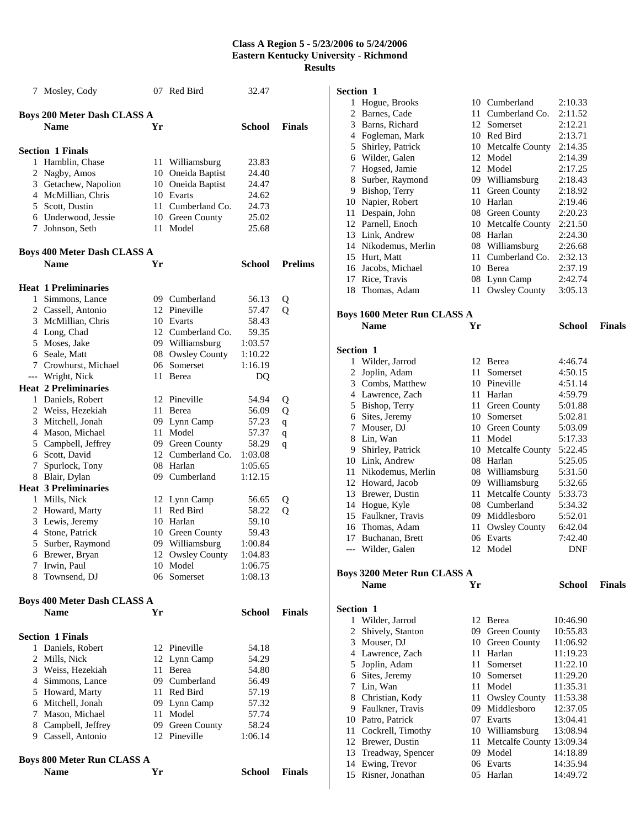|              | 7 Mosley, Cody                      |    | 07 Red Bird                        | 32.47         |                |
|--------------|-------------------------------------|----|------------------------------------|---------------|----------------|
|              | <b>Boys 200 Meter Dash CLASS A</b>  |    |                                    |               |                |
|              | <b>Name</b>                         | Yr |                                    | School        | <b>Finals</b>  |
|              | <b>Section 1 Finals</b>             |    |                                    |               |                |
|              | 1 Hamblin, Chase                    |    | 11 Williamsburg                    | 23.83         |                |
|              | 2 Nagby, Amos                       |    | 10 Oneida Baptist                  | 24.40         |                |
|              | 3 Getachew, Napolion                |    | 10 Oneida Baptist                  | 24.47         |                |
|              | 4 McMillian, Chris                  |    | 10 Evarts                          | 24.62         |                |
|              | 5 Scott, Dustin                     |    | 11 Cumberland Co.                  | 24.73         |                |
|              | 6 Underwood, Jessie                 |    | 10 Green County                    | 25.02         |                |
|              | 7 Johnson, Seth                     | 11 | Model                              | 25.68         |                |
|              |                                     |    |                                    |               |                |
|              | <b>Boys 400 Meter Dash CLASS A</b>  |    |                                    |               |                |
|              | <b>Name</b>                         | Yr |                                    | School        | <b>Prelims</b> |
|              | <b>Heat 1 Preliminaries</b>         |    |                                    |               |                |
|              | 1 Simmons, Lance                    |    | 09 Cumberland                      | 56.13         | Q              |
|              | 2 Cassell, Antonio                  |    | 12 Pineville                       | 57.47         | Q              |
|              | 3 McMillian, Chris                  |    | 10 Evarts                          | 58.43         |                |
|              | 4 Long, Chad                        |    | 12 Cumberland Co.                  | 59.35         |                |
|              | 5 Moses, Jake                       |    | 09 Williamsburg                    | 1:03.57       |                |
|              | 6 Seale, Matt                       |    | 08 Owsley County                   | 1:10.22       |                |
|              | 7 Crowhurst, Michael                |    | 06 Somerset                        | 1:16.19       |                |
|              | --- Wright, Nick                    | 11 | <b>Berea</b>                       | DQ            |                |
|              | <b>Heat 2 Preliminaries</b>         |    |                                    |               |                |
|              | 1 Daniels, Robert                   |    | 12 Pineville                       | 54.94         | Q              |
|              | 2 Weiss, Hezekiah                   | 11 | Berea                              | 56.09         | Q              |
|              | 3 Mitchell, Jonah                   |    | 09 Lynn Camp                       | 57.23         | q              |
|              | 4 Mason, Michael                    | 11 | Model                              | 57.37         | q              |
|              | 5 Campbell, Jeffrey                 |    | 09 Green County                    | 58.29         |                |
|              | 6 Scott, David                      |    | 12 Cumberland Co.                  | 1:03.08       | q              |
| 7            | Spurlock, Tony                      |    | 08 Harlan                          | 1:05.65       |                |
|              | 8 Blair, Dylan                      |    | 09 Cumberland                      | 1:12.15       |                |
|              | <b>Heat 3 Preliminaries</b>         |    |                                    |               |                |
|              | 1 Mills, Nick                       |    |                                    | 56.65         |                |
|              |                                     |    | 12 Lynn Camp<br>11 Red Bird        | 58.22         | Q              |
|              | 2 Howard, Marty                     |    | 10 Harlan                          | 59.10         | Q              |
|              | 3 Lewis, Jeremy<br>4 Stone, Patrick |    |                                    | 59.43         |                |
|              |                                     |    | 10 Green County<br>09 Williamsburg |               |                |
| 5            | Surber, Raymond                     |    | 12 Owsley County                   | 1:00.84       |                |
|              | 6 Brewer, Bryan                     |    |                                    | 1:04.83       |                |
|              | 7 Irwin, Paul                       | 10 | Model<br>06 Somerset               | 1:06.75       |                |
|              | 8 Townsend, DJ                      |    |                                    | 1:08.13       |                |
|              | <b>Boys 400 Meter Dash CLASS A</b>  |    |                                    |               |                |
|              | <b>Name</b>                         | Yr |                                    | School        | <b>Finals</b>  |
|              | <b>Section 1 Finals</b>             |    |                                    |               |                |
| $\mathbf{1}$ | Daniels, Robert                     |    | 12 Pineville                       | 54.18         |                |
|              | 2 Mills, Nick                       |    | 12 Lynn Camp                       | 54.29         |                |
|              | 3 Weiss, Hezekiah                   | 11 | Berea                              | 54.80         |                |
|              | 4 Simmons, Lance                    |    | 09 Cumberland                      | 56.49         |                |
|              | 5 Howard, Marty                     |    | 11 Red Bird                        | 57.19         |                |
|              | 6 Mitchell, Jonah                   |    | 09 Lynn Camp                       | 57.32         |                |
|              | 7 Mason, Michael                    | 11 | Model                              | 57.74         |                |
|              | 8 Campbell, Jeffrey                 |    | 09 Green County                    | 58.24         |                |
|              | 9 Cassell, Antonio                  |    | 12 Pineville                       | 1:06.14       |                |
|              |                                     |    |                                    |               |                |
|              | <b>Boys 800 Meter Run CLASS A</b>   |    |                                    |               |                |
|              | Name                                | Yr |                                    | <b>School</b> | Finals         |

### **S**

| Section 1        |                                                   |    |                                |                    |               |
|------------------|---------------------------------------------------|----|--------------------------------|--------------------|---------------|
|                  | 1 Hogue, Brooks                                   |    | 10 Cumberland                  | 2:10.33            |               |
|                  | 2 Barnes, Cade                                    |    | 11 Cumberland Co.              | 2:11.52            |               |
|                  | 3 Barns, Richard                                  |    | 12 Somerset                    | 2:12.21            |               |
|                  | 4 Fogleman, Mark                                  |    | 10 Red Bird                    | 2:13.71            |               |
|                  | 5 Shirley, Patrick                                |    | 10 Metcalfe County             | 2:14.35            |               |
|                  | 6 Wilder, Galen                                   |    | 12 Model                       | 2:14.39            |               |
| 7                | Hogsed, Jamie                                     |    | 12 Model                       | 2:17.25            |               |
|                  | 8 Surber, Raymond                                 |    | 09 Williamsburg                | 2:18.43            |               |
|                  | 9 Bishop, Terry                                   |    | 11 Green County                | 2:18.92            |               |
|                  | 10 Napier, Robert                                 |    | 10 Harlan                      | 2:19.46            |               |
|                  | 11 Despain, John                                  |    | 08 Green County                | 2:20.23            |               |
|                  | 12 Parnell, Enoch                                 |    | 10 Metcalfe County             | 2:21.50            |               |
|                  | 13 Link, Andrew                                   |    | 08 Harlan                      | 2:24.30            |               |
|                  | 14 Nikodemus, Merlin                              |    | 08 Williamsburg                | 2:26.68            |               |
|                  | 15 Hurt, Matt                                     |    | 11 Cumberland Co.              | 2:32.13            |               |
|                  | 16 Jacobs, Michael                                |    | 10 Berea                       | 2:37.19            |               |
|                  | 17 Rice, Travis                                   |    | 08 Lynn Camp                   | 2:42.74            |               |
|                  | 18 Thomas, Adam                                   | 11 | <b>Owsley County</b>           | 3:05.13            |               |
|                  | <b>Boys 1600 Meter Run CLASS A</b>                |    |                                |                    |               |
|                  | <b>Name</b>                                       | Yr |                                | <b>School</b>      | <b>Finals</b> |
|                  |                                                   |    |                                |                    |               |
| <b>Section 1</b> |                                                   |    |                                |                    |               |
| 1                | Wilder, Jarrod                                    |    | 12 Berea                       | 4:46.74            |               |
|                  | 2 Joplin, Adam                                    | 11 | Somerset                       | 4:50.15            |               |
|                  | 3 Combs, Matthew                                  |    | 10 Pineville                   | 4:51.14            |               |
|                  | 4 Lawrence, Zach                                  |    | 11 Harlan                      | 4:59.79            |               |
|                  | 5 Bishop, Terry                                   |    | 11 Green County                | 5:01.88            |               |
|                  | 6 Sites, Jeremy<br>7 Mouser, DJ                   |    | 10 Somerset<br>10 Green County | 5:02.81            |               |
|                  | 8 Lin, Wan                                        |    | 11 Model                       | 5:03.09<br>5:17.33 |               |
|                  | 9 Shirley, Patrick                                |    | 10 Metcalfe County             | 5:22.45            |               |
|                  | 10 Link, Andrew                                   |    | 08 Harlan                      | 5:25.05            |               |
|                  | 11 Nikodemus, Merlin                              |    | 08 Williamsburg                | 5:31.50            |               |
|                  | 12 Howard, Jacob                                  |    | 09 Williamsburg                | 5:32.65            |               |
|                  | 13 Brewer, Dustin                                 |    | 11 Metcalfe County             | 5:33.73            |               |
|                  | 14 Hogue, Kyle                                    |    | 08 Cumberland                  | 5:34.32            |               |
|                  | 15 Faulkner, Travis                               |    | 09 Middlesboro                 | 5:52.01            |               |
|                  | 16 Thomas, Adam                                   |    | 11 Owsley County               | 6:42.04            |               |
|                  | 17 Buchanan, Brett                                |    | 06 Evarts                      | 7:42.40            |               |
| $---$            | Wilder, Galen                                     | 12 | Model                          | DNF                |               |
|                  |                                                   |    |                                |                    |               |
|                  | <b>Boys 3200 Meter Run CLASS A</b><br><b>Name</b> | Yr |                                | <b>School</b>      | <b>Finals</b> |
|                  |                                                   |    |                                |                    |               |
| Section 1        |                                                   |    |                                |                    |               |
|                  | 1 Wilder, Jarrod                                  |    | 12 Berea                       | 10:46.90           |               |
|                  | 2 Shively, Stanton                                |    | 09 Green County                | 10:55.83           |               |
|                  | 3 Mouser, DJ                                      |    | 10 Green County                | 11:06.92           |               |
|                  | 4 Lawrence, Zach                                  |    | 11 Harlan                      | 11:19.23           |               |
|                  | 5 Joplin, Adam                                    |    | 11 Somerset                    | 11:22.10           |               |
|                  | 6 Sites, Jeremy                                   |    | 10 Somerset                    | 11:29.20           |               |
|                  | 7 Lin, Wan                                        |    | 11 Model                       | 11:35.31           |               |
|                  | 8 Christian, Kody                                 |    | 11 Owsley County               | 11:53.38           |               |
|                  | 9 Faulkner, Travis                                |    | 09 Middlesboro                 | 12:37.05           |               |
|                  | 10 Patro, Patrick                                 |    | 07 Evarts                      | 13:04.41           |               |

11 Cockrell, Timothy 10 Williamsburg 13:08.94<br>12 Brewer, Dustin 11 Metcalfe County 13:09.34

13 Treadway, Spencer 09 Model 14:18.89<br>14 Ewing, Trevor 06 Evarts 14:35.94 14 Ewing, Trevor 06 Evarts 14:35.94<br>15 Risner, Jonathan 05 Harlan 14:49.72

15 Risner, Jonathan

11 Metcalfe County 13:09.34<br>09 Model 14:18.89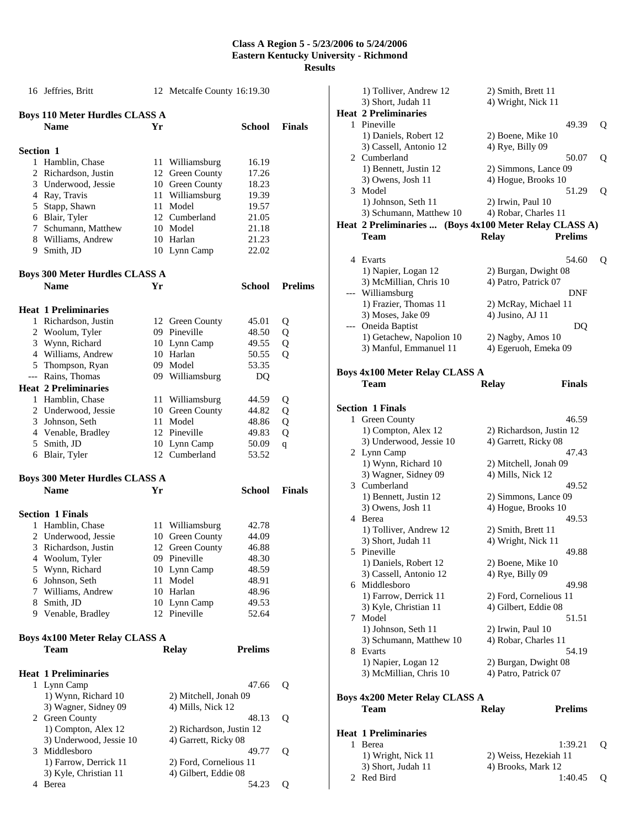|           | 16 Jeffries, Britt                         |     | 12 Metcalfe County 16:19.30                      |                |                |
|-----------|--------------------------------------------|-----|--------------------------------------------------|----------------|----------------|
|           | <b>Boys 110 Meter Hurdles CLASS A</b>      |     |                                                  |                |                |
|           | <b>Name</b>                                | Yr  |                                                  | School         | <b>Finals</b>  |
| Section 1 |                                            |     |                                                  |                |                |
|           | 1 Hamblin, Chase                           |     | 11 Williamsburg                                  | 16.19          |                |
|           | 2 Richardson, Justin                       |     | 12 Green County                                  | 17.26          |                |
|           | 3 Underwood, Jessie                        |     | 10 Green County                                  | 18.23          |                |
|           | 4 Ray, Travis                              | 11- | Williamsburg                                     | 19.39          |                |
|           | 5 Stapp, Shawn                             |     | 11 Model                                         | 19.57          |                |
|           | 6 Blair, Tyler                             |     | 12 Cumberland                                    | 21.05          |                |
|           | 7 Schumann, Matthew                        |     | 10 Model                                         | 21.18          |                |
|           | 8 Williams, Andrew                         |     | 10 Harlan                                        | 21.23          |                |
|           | 9 Smith, JD                                |     | 10 Lynn Camp                                     | 22.02          |                |
|           | <b>Boys 300 Meter Hurdles CLASS A</b>      |     |                                                  |                |                |
|           | <b>Name</b>                                | Yr  |                                                  | School         | <b>Prelims</b> |
|           |                                            |     |                                                  |                |                |
|           | <b>Heat 1 Preliminaries</b>                |     |                                                  |                |                |
|           | 1 Richardson, Justin                       |     | 12 Green County                                  | 45.01          | Q              |
|           | 2 Woolum, Tyler                            |     | 09 Pineville                                     | 48.50          | Q              |
|           | 3 Wynn, Richard                            |     | 10 Lynn Camp                                     | 49.55          | Q              |
|           | 4 Williams, Andrew                         |     | 10 Harlan                                        | 50.55          | Q              |
|           | 5 Thompson, Ryan                           |     | 09 Model                                         | 53.35          |                |
|           | --- Rains, Thomas                          |     | 09 Williamsburg                                  | DQ             |                |
|           | <b>Heat 2 Preliminaries</b>                |     |                                                  |                |                |
|           | 1 Hamblin, Chase                           |     | 11 Williamsburg                                  | 44.59          | Q              |
|           | 2 Underwood, Jessie                        |     | 10 Green County                                  | 44.82          | Q              |
|           | 3 Johnson, Seth                            | 11  | Model                                            | 48.86          | Q              |
|           | 4 Venable, Bradley                         |     | 12 Pineville                                     | 49.83          | Q              |
|           | 5 Smith, JD                                |     | 10 Lynn Camp                                     | 50.09          | q              |
|           | 6 Blair, Tyler                             |     | 12 Cumberland                                    | 53.52          |                |
|           | <b>Boys 300 Meter Hurdles CLASS A</b>      |     |                                                  |                |                |
|           | <b>Name</b>                                | Yr  |                                                  | School         | <b>Finals</b>  |
|           |                                            |     |                                                  |                |                |
|           | <b>Section 1 Finals</b>                    |     |                                                  |                |                |
|           | 1 Hamblin, Chase                           |     | 11 Williamsburg                                  | 42.78          |                |
|           | 2 Underwood, Jessie                        |     | 10 Green County                                  | 44.09          |                |
|           | 3 Richardson, Justin                       |     | 12 Green County                                  | 46.88          |                |
| 4         | Woolum, Tyler                              |     | 09 Pineville                                     | 48.30          |                |
|           | 5 Wynn, Richard                            |     | 10 Lynn Camp                                     | 48.59          |                |
|           | 6 Johnson, Seth                            | 11  | Model                                            | 48.91          |                |
|           | 7 Williams, Andrew                         |     | 10 Harlan                                        | 48.96          |                |
|           | 8 Smith, JD                                |     | 10 Lynn Camp                                     | 49.53          |                |
|           | 9 Venable, Bradley                         |     | 12 Pineville                                     | 52.64          |                |
|           | <b>Boys 4x100 Meter Relay CLASS A</b>      |     |                                                  |                |                |
|           | Team                                       |     | <b>Relay</b>                                     | <b>Prelims</b> |                |
|           |                                            |     |                                                  |                |                |
|           | <b>Heat 1 Preliminaries</b><br>1 Lynn Camp |     |                                                  | 47.66          |                |
|           | 1) Wynn, Richard 10                        |     | 2) Mitchell, Jonah 09                            |                | Q              |
|           | 3) Wagner, Sidney 09                       |     | 4) Mills, Nick 12                                |                |                |
|           | 2 Green County                             |     |                                                  | 48.13          |                |
|           | 1) Compton, Alex 12                        |     |                                                  |                | Q              |
|           | 3) Underwood, Jessie 10                    |     | 2) Richardson, Justin 12<br>4) Garrett, Ricky 08 |                |                |
| 3         | Middlesboro                                |     |                                                  |                |                |
|           | 1) Farrow, Derrick 11                      |     | 2) Ford, Cornelious 11                           | 49.77          | Q              |
|           | 3) Kyle, Christian 11                      |     | 4) Gilbert, Eddie 08                             |                |                |
|           | 4 Berea                                    |     |                                                  | 54.23          | Q              |
|           |                                            |     |                                                  |                |                |

|     | 1) Tolliver, Andrew 12<br>3) Short, Judah 11                                      | 2) Smith, Brett 11<br>4) Wright, Nick 11  |   |
|-----|-----------------------------------------------------------------------------------|-------------------------------------------|---|
|     | <b>Heat 2 Preliminaries</b>                                                       |                                           |   |
|     | 1 Pineville                                                                       | 49.39                                     | Q |
|     | 1) Daniels, Robert 12                                                             | 2) Boene, Mike 10                         |   |
|     | 3) Cassell, Antonio 12                                                            | 4) Rye, Billy 09                          |   |
|     | 2 Cumberland                                                                      | 50.07                                     | Q |
|     | 1) Bennett, Justin 12                                                             | 2) Simmons, Lance 09                      |   |
|     | 3) Owens, Josh 11                                                                 | 4) Hogue, Brooks 10                       |   |
| 3   | Model                                                                             | 51.29                                     | Q |
|     | 1) Johnson, Seth 11                                                               | 2) Irwin, Paul 10                         |   |
|     | 3) Schumann, Matthew 10<br>Heat 2 Preliminaries  (Boys 4x100 Meter Relay CLASS A) | 4) Robar, Charles 11                      |   |
|     | Team                                                                              | <b>Prelims</b><br><b>Relay</b>            |   |
|     |                                                                                   |                                           |   |
|     | 4 Evarts                                                                          | 54.60                                     | Q |
|     | 1) Napier, Logan 12                                                               | 2) Burgan, Dwight 08                      |   |
|     | 3) McMillian, Chris 10                                                            | 4) Patro, Patrick 07                      |   |
| --- | Williamsburg                                                                      | DNF                                       |   |
|     | 1) Frazier, Thomas 11                                                             | 2) McRay, Michael 11                      |   |
|     | 3) Moses, Jake 09                                                                 | 4) Jusino, AJ 11                          |   |
| --- | Oneida Baptist                                                                    | DQ                                        |   |
|     | 1) Getachew, Napolion 10                                                          | 2) Nagby, Amos 10                         |   |
|     | 3) Manful, Emmanuel 11                                                            | 4) Egeruoh, Emeka 09                      |   |
|     |                                                                                   |                                           |   |
|     | Boys 4x100 Meter Relay CLASS A<br>Team                                            | <b>Relay</b><br>Finals                    |   |
|     |                                                                                   |                                           |   |
|     | <b>Section 1 Finals</b>                                                           |                                           |   |
| 1   | Green County                                                                      | 46.59                                     |   |
|     | 1) Compton, Alex 12                                                               | 2) Richardson, Justin 12                  |   |
|     | 3) Underwood, Jessie 10                                                           | 4) Garrett, Ricky 08                      |   |
|     | 2 Lynn Camp                                                                       | 47.43                                     |   |
|     |                                                                                   |                                           |   |
|     | 1) Wynn, Richard 10                                                               | 2) Mitchell, Jonah 09                     |   |
|     | 3) Wagner, Sidney 09                                                              | 4) Mills, Nick 12                         |   |
| 3   | Cumberland                                                                        | 49.52                                     |   |
|     | 1) Bennett, Justin 12                                                             | 2) Simmons, Lance 09                      |   |
|     | 3) Owens, Josh 11<br>4 Berea                                                      | 4) Hogue, Brooks 10<br>49.53              |   |
|     | 1) Tolliver, Andrew 12                                                            | 2) Smith, Brett 11                        |   |
|     | 3) Short, Judah 11                                                                | 4) Wright, Nick 11                        |   |
|     | 5 Pineville                                                                       | 49.88                                     |   |
|     | 1) Daniels, Robert 12                                                             | 2) Boene, Mike 10                         |   |
|     | 3) Cassell, Antonio 12                                                            | 4) Rye, Billy 09                          |   |
| 6   | Middlesboro                                                                       | 49.98                                     |   |
|     | 1) Farrow, Derrick 11                                                             | 2) Ford, Cornelious 11                    |   |
|     | 3) Kyle, Christian 11                                                             | 4) Gilbert, Eddie 08                      |   |
| 7   | Model                                                                             | 51.51                                     |   |
|     | 1) Johnson, Seth 11<br>3) Schumann, Matthew 10                                    | 2) Irwin, Paul 10<br>4) Robar, Charles 11 |   |
| 8   | Evarts                                                                            | 54.19                                     |   |
|     | 1) Napier, Logan 12                                                               | 2) Burgan, Dwight 08                      |   |
|     | 3) McMillian, Chris 10                                                            | 4) Patro, Patrick 07                      |   |
|     |                                                                                   |                                           |   |
|     | <b>Boys 4x200 Meter Relay CLASS A</b>                                             |                                           |   |
|     | Team                                                                              | <b>Relay</b><br><b>Prelims</b>            |   |
|     | <b>Heat 1 Preliminaries</b>                                                       |                                           |   |
| 1   | Berea                                                                             | 1:39.21                                   | Q |
|     | 1) Wright, Nick 11                                                                | 2) Weiss, Hezekiah 11                     |   |
|     | 3) Short, Judah 11<br>Red Bird                                                    | 4) Brooks, Mark 12<br>1:40.45             |   |